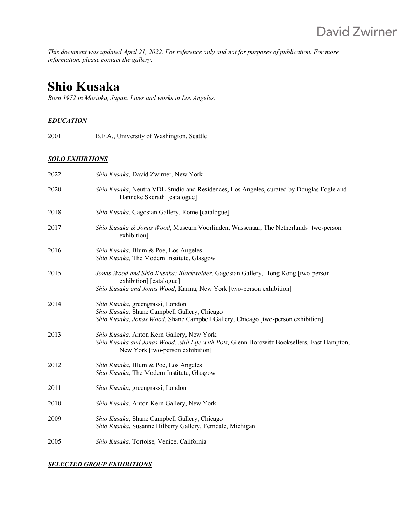*This document was updated April 21, 2022. For reference only and not for purposes of publication. For more information, please contact the gallery.*

# **Shio Kusaka**

*Born 1972 in Morioka, Japan. Lives and works in Los Angeles.* 

#### *EDUCATION*

2001 B.F.A., University of Washington, Seattle

#### *SOLO EXHIBTIONS*

| 2022 | Shio Kusaka, David Zwirner, New York                                                                                                                                               |
|------|------------------------------------------------------------------------------------------------------------------------------------------------------------------------------------|
| 2020 | Shio Kusaka, Neutra VDL Studio and Residences, Los Angeles, curated by Douglas Fogle and<br>Hanneke Skerath [catalogue]                                                            |
| 2018 | Shio Kusaka, Gagosian Gallery, Rome [catalogue]                                                                                                                                    |
| 2017 | Shio Kusaka & Jonas Wood, Museum Voorlinden, Wassenaar, The Netherlands [two-person<br>exhibition]                                                                                 |
| 2016 | Shio Kusaka, Blum & Poe, Los Angeles<br>Shio Kusaka, The Modern Institute, Glasgow                                                                                                 |
| 2015 | Jonas Wood and Shio Kusaka: Blackwelder, Gagosian Gallery, Hong Kong [two-person<br>exhibition] [catalogue]<br>Shio Kusaka and Jonas Wood, Karma, New York [two-person exhibition] |
| 2014 | Shio Kusaka, greengrassi, London<br>Shio Kusaka, Shane Campbell Gallery, Chicago<br>Shio Kusaka, Jonas Wood, Shane Campbell Gallery, Chicago [two-person exhibition]               |
| 2013 | Shio Kusaka, Anton Kern Gallery, New York<br>Shio Kusaka and Jonas Wood: Still Life with Pots, Glenn Horowitz Booksellers, East Hampton,<br>New York [two-person exhibition]       |
| 2012 | Shio Kusaka, Blum & Poe, Los Angeles<br>Shio Kusaka, The Modern Institute, Glasgow                                                                                                 |
| 2011 | Shio Kusaka, greengrassi, London                                                                                                                                                   |
| 2010 | Shio Kusaka, Anton Kern Gallery, New York                                                                                                                                          |
| 2009 | Shio Kusaka, Shane Campbell Gallery, Chicago<br>Shio Kusaka, Susanne Hilberry Gallery, Ferndale, Michigan                                                                          |
| 2005 | Shio Kusaka, Tortoise, Venice, California                                                                                                                                          |

#### *SELECTED GROUP EXHIBITIONS*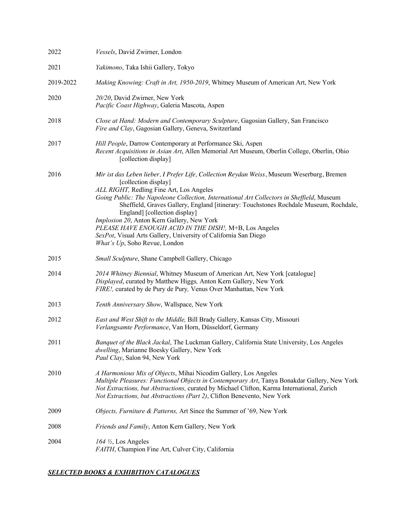| 2022      | Vessels, David Zwirner, London                                                                                                                                                                                                                                                                                                                                                                                                                                                                                                                                                                    |
|-----------|---------------------------------------------------------------------------------------------------------------------------------------------------------------------------------------------------------------------------------------------------------------------------------------------------------------------------------------------------------------------------------------------------------------------------------------------------------------------------------------------------------------------------------------------------------------------------------------------------|
| 2021      | Yakimono, Taka Ishii Gallery, Tokyo                                                                                                                                                                                                                                                                                                                                                                                                                                                                                                                                                               |
| 2019-2022 | Making Knowing: Craft in Art, 1950-2019, Whitney Museum of American Art, New York                                                                                                                                                                                                                                                                                                                                                                                                                                                                                                                 |
| 2020      | 20/20, David Zwirner, New York<br>Pacific Coast Highway, Galeria Mascota, Aspen                                                                                                                                                                                                                                                                                                                                                                                                                                                                                                                   |
| 2018      | Close at Hand: Modern and Contemporary Sculpture, Gagosian Gallery, San Francisco<br>Fire and Clay, Gagosian Gallery, Geneva, Switzerland                                                                                                                                                                                                                                                                                                                                                                                                                                                         |
| 2017      | Hill People, Darrow Contemporary at Performance Ski, Aspen<br>Recent Acquisitions in Asian Art, Allen Memorial Art Museum, Oberlin College, Oberlin, Ohio<br>[collection display]                                                                                                                                                                                                                                                                                                                                                                                                                 |
| 2016      | Mir ist das Leben lieber, I Prefer Life, Collection Reydan Weiss, Museum Weserburg, Bremen<br>[collection display]<br>ALL RIGHT, Redling Fine Art, Los Angeles<br>Going Public: The Napoleone Collection, International Art Collectors in Sheffield, Museum<br>Sheffield, Graves Gallery, England [itinerary: Touchstones Rochdale Museum, Rochdale,<br>England] [collection display]<br>Implosion 20, Anton Kern Gallery, New York<br>PLEASE HAVE ENOUGH ACID IN THE DISH!, M+B, Los Angeles<br>SexPot, Visual Arts Gallery, University of California San Diego<br>What's Up, Soho Revue, London |
| 2015      | Small Sculpture, Shane Campbell Gallery, Chicago                                                                                                                                                                                                                                                                                                                                                                                                                                                                                                                                                  |
| 2014      | 2014 Whitney Biennial, Whitney Museum of American Art, New York [catalogue]<br>Displayed, curated by Matthew Higgs, Anton Kern Gallery, New York<br>FIRE!, curated by de Pury de Pury, Venus Over Manhattan, New York                                                                                                                                                                                                                                                                                                                                                                             |
| 2013      | Tenth Anniversary Show, Wallspace, New York                                                                                                                                                                                                                                                                                                                                                                                                                                                                                                                                                       |
| 2012      | East and West Shift to the Middle, Bill Brady Gallery, Kansas City, Missouri<br>Verlangsamte Performance, Van Horn, Düsseldorf, Germany                                                                                                                                                                                                                                                                                                                                                                                                                                                           |
| 2011      | Banquet of the Black Jackal, The Luckman Gallery, California State University, Los Angeles<br>dwelling, Marianne Boesky Gallery, New York<br>Paul Clay, Salon 94, New York                                                                                                                                                                                                                                                                                                                                                                                                                        |
| 2010      | A Harmonious Mix of Objects, Mihai Nicodim Gallery, Los Angeles<br>Multiple Pleasures: Functional Objects in Contemporary Art, Tanya Bonakdar Gallery, New York<br>Not Extractions, but Abstractions, curated by Michael Clifton, Karma International, Zurich<br>Not Extractions, but Abstractions (Part 2), Clifton Benevento, New York                                                                                                                                                                                                                                                          |
| 2009      | Objects, Furniture & Patterns, Art Since the Summer of '69, New York                                                                                                                                                                                                                                                                                                                                                                                                                                                                                                                              |
| 2008      | Friends and Family, Anton Kern Gallery, New York                                                                                                                                                                                                                                                                                                                                                                                                                                                                                                                                                  |
| 2004      | $164 \frac{1}{2}$ , Los Angeles<br>FAITH, Champion Fine Art, Culver City, California                                                                                                                                                                                                                                                                                                                                                                                                                                                                                                              |

#### *SELECTED BOOKS & EXHIBITION CATALOGUES*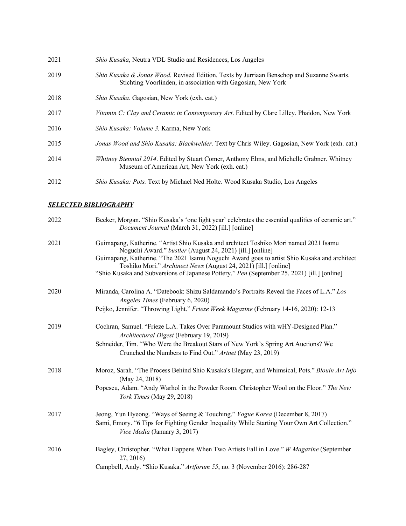| 2021 | <i>Shio Kusaka</i> , Neutra VDL Studio and Residences, Los Angeles                                                                                                   |
|------|----------------------------------------------------------------------------------------------------------------------------------------------------------------------|
| 2019 | <i>Shio Kusaka &amp; Jonas Wood.</i> Revised Edition. Texts by Jurriaan Benschop and Suzanne Swarts.<br>Stichting Voorlinden, in association with Gagosian, New York |
| 2018 | Shio Kusaka. Gagosian, New York (exh. cat.)                                                                                                                          |
| 2017 | Vitamin C: Clay and Ceramic in Contemporary Art. Edited by Clare Lilley. Phaidon, New York                                                                           |
| 2016 | <i>Shio Kusaka: Volume 3. Karma, New York</i>                                                                                                                        |
| 2015 | Jonas Wood and Shio Kusaka: Blackwelder. Text by Chris Wiley. Gagosian, New York (exh. cat.)                                                                         |
| 2014 | Whitney Biennial 2014. Edited by Stuart Comer, Anthony Elms, and Michelle Grabner. Whitney<br>Museum of American Art, New York (exh. cat.)                           |
| 2012 | Shio Kusaka: Pots. Text by Michael Ned Holte. Wood Kusaka Studio, Los Angeles                                                                                        |

## *SELECTED BIBLIOGRAPHY*

| 2022 | Becker, Morgan. "Shio Kusaka's 'one light year' celebrates the essential qualities of ceramic art."<br>Document Journal (March 31, 2022) [ill.] [online]                                                                                           |
|------|----------------------------------------------------------------------------------------------------------------------------------------------------------------------------------------------------------------------------------------------------|
| 2021 | Guimapang, Katherine. "Artist Shio Kusaka and architect Toshiko Mori named 2021 Isamu<br>Noguchi Award." bustler (August 24, 2021) [ill.] [online]<br>Guimapang, Katherine. "The 2021 Isamu Noguchi Award goes to artist Shio Kusaka and architect |
|      | Toshiko Mori." Archinect News (August 24, 2021) [ill.] [online]                                                                                                                                                                                    |
|      | "Shio Kusaka and Subversions of Japanese Pottery." Pen (September 25, 2021) [ill.] [online]                                                                                                                                                        |
| 2020 | Miranda, Carolina A. "Datebook: Shizu Saldamando's Portraits Reveal the Faces of L.A." Los<br>Angeles Times (February 6, 2020)                                                                                                                     |
|      | Peijko, Jennifer. "Throwing Light." Frieze Week Magazine (February 14-16, 2020): 12-13                                                                                                                                                             |
| 2019 | Cochran, Samuel. "Frieze L.A. Takes Over Paramount Studios with wHY-Designed Plan."                                                                                                                                                                |
|      | Architectural Digest (February 19, 2019)                                                                                                                                                                                                           |
|      | Schneider, Tim. "Who Were the Breakout Stars of New York's Spring Art Auctions? We<br>Crunched the Numbers to Find Out." Artnet (May 23, 2019)                                                                                                     |
| 2018 | Moroz, Sarah. "The Process Behind Shio Kusaka's Elegant, and Whimsical, Pots." Blouin Art Info<br>(May 24, 2018)                                                                                                                                   |
|      | Popescu, Adam. "Andy Warhol in the Powder Room. Christopher Wool on the Floor." The New<br>York Times (May 29, 2018)                                                                                                                               |
| 2017 | Jeong, Yun Hyeong. "Ways of Seeing & Touching." Vogue Korea (December 8, 2017)                                                                                                                                                                     |
|      | Sami, Emory. "6 Tips for Fighting Gender Inequality While Starting Your Own Art Collection."<br>Vice Media (January 3, 2017)                                                                                                                       |
| 2016 | Bagley, Christopher. "What Happens When Two Artists Fall in Love." W Magazine (September<br>27, 2016)                                                                                                                                              |
|      | Campbell, Andy. "Shio Kusaka." Artforum 55, no. 3 (November 2016): 286-287                                                                                                                                                                         |
|      |                                                                                                                                                                                                                                                    |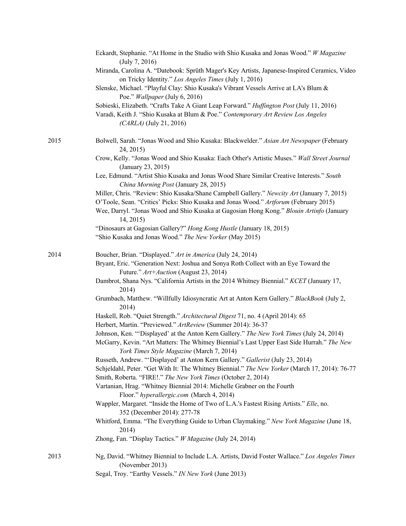|      | Eckardt, Stephanie. "At Home in the Studio with Shio Kusaka and Jonas Wood." W Magazine<br>(July 7, 2016)                                                                                                                                                                                    |
|------|----------------------------------------------------------------------------------------------------------------------------------------------------------------------------------------------------------------------------------------------------------------------------------------------|
|      | Miranda, Carolina A. "Datebook: Sprüth Mager's Key Artists, Japanese-Inspired Ceramics, Video<br>on Tricky Identity." Los Angeles Times (July 1, 2016)                                                                                                                                       |
|      | Slenske, Michael. "Playful Clay: Shio Kusaka's Vibrant Vessels Arrive at LA's Blum &<br>Poe." Wallpaper (July 6, 2016)                                                                                                                                                                       |
|      | Sobieski, Elizabeth. "Crafts Take A Giant Leap Forward." Huffington Post (July 11, 2016)                                                                                                                                                                                                     |
|      | Varadi, Keith J. "Shio Kusaka at Blum & Poe." Contemporary Art Review Los Angeles<br>$(CARLA)$ (July 21, 2016)                                                                                                                                                                               |
| 2015 | Bolwell, Sarah. "Jonas Wood and Shio Kusaka: Blackwelder." Asian Art Newspaper (February<br>24, 2015)                                                                                                                                                                                        |
|      | Crow, Kelly. "Jonas Wood and Shio Kusaka: Each Other's Artistic Muses." Wall Street Journal<br>(January 23, 2015)                                                                                                                                                                            |
|      | Lee, Edmund. "Artist Shio Kusaka and Jonas Wood Share Similar Creative Interests." South<br>China Morning Post (January 28, 2015)                                                                                                                                                            |
|      | Miller, Chris. "Review: Shio Kusaka/Shane Campbell Gallery." Newcity Art (January 7, 2015)<br>O'Toole, Sean. "Critics' Picks: Shio Kusaka and Jonas Wood." Artforum (February 2015)<br>Wee, Darryl. "Jonas Wood and Shio Kusaka at Gagosian Hong Kong." Blouin Artinfo (January<br>14, 2015) |
|      | "Dinosaurs at Gagosian Gallery?" Hong Kong Hustle (January 18, 2015)                                                                                                                                                                                                                         |
|      | "Shio Kusaka and Jonas Wood." The New Yorker (May 2015)                                                                                                                                                                                                                                      |
| 2014 | Boucher, Brian. "Displayed." Art in America (July 24, 2014)                                                                                                                                                                                                                                  |
|      | Bryant, Eric. "Generation Next: Joshua and Sonya Roth Collect with an Eye Toward the<br>Future." Art+Auction (August 23, 2014)                                                                                                                                                               |
|      | Dambrot, Shana Nys. "California Artists in the 2014 Whitney Biennial." KCET (January 17,<br>2014)                                                                                                                                                                                            |
|      | Grumbach, Matthew. "Willfully Idiosyncratic Art at Anton Kern Gallery." BlackBook (July 2,<br>2014)                                                                                                                                                                                          |
|      | Haskell, Rob. "Quiet Strength." Architectural Digest 71, no. 4 (April 2014): 65<br>Herbert, Martin. "Previewed." ArtReview (Summer 2014): 36-37                                                                                                                                              |
|      | Johnson, Ken. "'Displayed' at the Anton Kern Gallery." The New York Times (July 24, 2014)<br>McGarry, Kevin. "Art Matters: The Whitney Biennial's Last Upper East Side Hurrah." The New<br>York Times Style Magazine (March 7, 2014)                                                         |
|      | Russeth, Andrew. "'Displayed' at Anton Kern Gallery." Gallerist (July 23, 2014)<br>Schjeldahl, Peter. "Get With It: The Whitney Biennial." The New Yorker (March 17, 2014): 76-77<br>Smith, Roberta. "FIRE!." The New York Times (October 2, 2014)                                           |
|      | Vartanian, Hrag. "Whitney Biennial 2014: Michelle Grabner on the Fourth<br>Floor." hyperallergic.com (March 4, 2014)                                                                                                                                                                         |
|      | Wappler, Margaret. "Inside the Home of Two of L.A.'s Fastest Rising Artists." Elle, no.<br>352 (December 2014): 277-78                                                                                                                                                                       |
|      | Whitford, Emma. "The Everything Guide to Urban Claymaking." New York Magazine (June 18,<br>2014)                                                                                                                                                                                             |
|      | Zhong, Fan. "Display Tactics." W Magazine (July 24, 2014)                                                                                                                                                                                                                                    |
| 2013 | Ng, David. "Whitney Biennial to Include L.A. Artists, David Foster Wallace." Los Angeles Times<br>(November 2013)                                                                                                                                                                            |
|      | Segal, Troy. "Earthy Vessels." IN New York (June 2013)                                                                                                                                                                                                                                       |